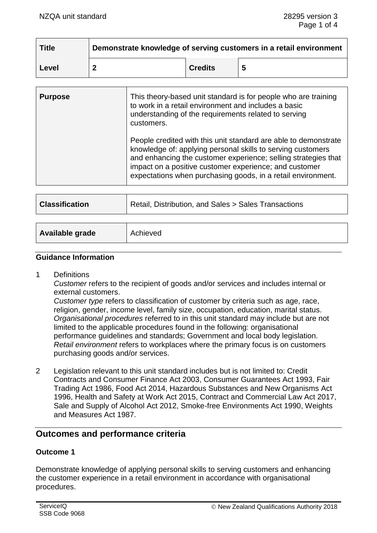| <b>Title</b> | Demonstrate knowledge of serving customers in a retail environment |                |  |
|--------------|--------------------------------------------------------------------|----------------|--|
| ∣ Level      |                                                                    | <b>Credits</b> |  |

| <b>Purpose</b> | This theory-based unit standard is for people who are training<br>to work in a retail environment and includes a basic<br>understanding of the requirements related to serving<br>customers.                                                                                                                               |
|----------------|----------------------------------------------------------------------------------------------------------------------------------------------------------------------------------------------------------------------------------------------------------------------------------------------------------------------------|
|                | People credited with this unit standard are able to demonstrate<br>knowledge of: applying personal skills to serving customers<br>and enhancing the customer experience; selling strategies that<br>impact on a positive customer experience; and customer<br>expectations when purchasing goods, in a retail environment. |
|                |                                                                                                                                                                                                                                                                                                                            |

| <b>Classification</b> | Retail, Distribution, and Sales > Sales Transactions |  |  |
|-----------------------|------------------------------------------------------|--|--|
|                       |                                                      |  |  |
| Available grade       | Achieved                                             |  |  |

#### **Guidance Information**

1 Definitions

*Customer* refers to the recipient of goods and/or services and includes internal or external customers.

*Customer type* refers to classification of customer by criteria such as age, race, religion, gender, income level, family size, occupation, education, marital status. *Organisational procedures* referred to in this unit standard may include but are not limited to the applicable procedures found in the following: organisational performance guidelines and standards; Government and local body legislation. *Retail environment* refers to workplaces where the primary focus is on customers purchasing goods and/or services.

2 Legislation relevant to this unit standard includes but is not limited to: Credit Contracts and Consumer Finance Act 2003, Consumer Guarantees Act 1993, Fair Trading Act 1986, Food Act 2014, Hazardous Substances and New Organisms Act 1996, Health and Safety at Work Act 2015, Contract and Commercial Law Act 2017, Sale and Supply of Alcohol Act 2012, Smoke-free Environments Act 1990, Weights and Measures Act 1987.

# **Outcomes and performance criteria**

### **Outcome 1**

Demonstrate knowledge of applying personal skills to serving customers and enhancing the customer experience in a retail environment in accordance with organisational procedures.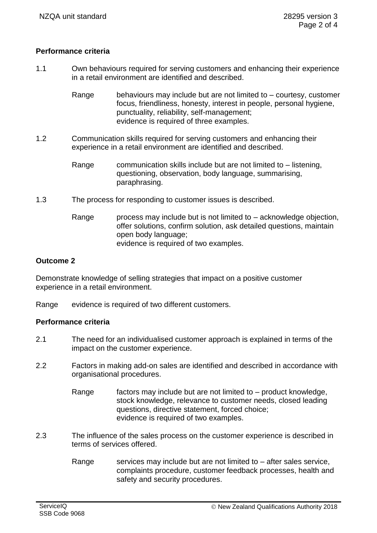## **Performance criteria**

1.1 Own behaviours required for serving customers and enhancing their experience in a retail environment are identified and described.

> Range behaviours may include but are not limited to – courtesy, customer focus, friendliness, honesty, interest in people, personal hygiene, punctuality, reliability, self-management; evidence is required of three examples.

- 1.2 Communication skills required for serving customers and enhancing their experience in a retail environment are identified and described.
	- Range communication skills include but are not limited to  $-$  listening, questioning, observation, body language, summarising, paraphrasing.
- 1.3 The process for responding to customer issues is described.
	- Range process may include but is not limited to  $-$  acknowledge objection, offer solutions, confirm solution, ask detailed questions, maintain open body language; evidence is required of two examples.

### **Outcome 2**

Demonstrate knowledge of selling strategies that impact on a positive customer experience in a retail environment.

Range evidence is required of two different customers.

### **Performance criteria**

- 2.1 The need for an individualised customer approach is explained in terms of the impact on the customer experience.
- 2.2 Factors in making add-on sales are identified and described in accordance with organisational procedures.
	- Range factors may include but are not limited to product knowledge, stock knowledge, relevance to customer needs, closed leading questions, directive statement, forced choice; evidence is required of two examples.
- 2.3 The influence of the sales process on the customer experience is described in terms of services offered.
	- Range services may include but are not limited to  $-$  after sales service, complaints procedure, customer feedback processes, health and safety and security procedures.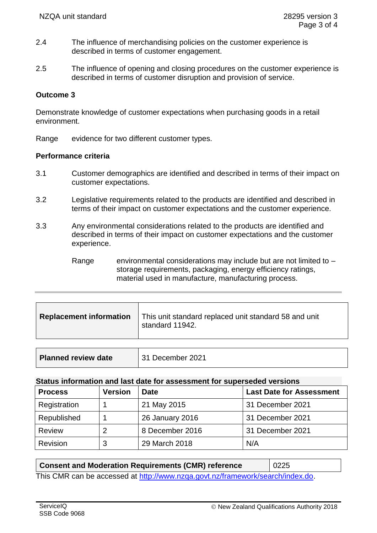- 2.4 The influence of merchandising policies on the customer experience is described in terms of customer engagement.
- 2.5 The influence of opening and closing procedures on the customer experience is described in terms of customer disruption and provision of service.

## **Outcome 3**

Demonstrate knowledge of customer expectations when purchasing goods in a retail environment.

Range evidence for two different customer types.

### **Performance criteria**

- 3.1 Customer demographics are identified and described in terms of their impact on customer expectations.
- 3.2 Legislative requirements related to the products are identified and described in terms of their impact on customer expectations and the customer experience.
- 3.3 Any environmental considerations related to the products are identified and described in terms of their impact on customer expectations and the customer experience.

Range environmental considerations may include but are not limited to  $$ storage requirements, packaging, energy efficiency ratings, material used in manufacture, manufacturing process.

| <b>Replacement information</b> | This unit standard replaced unit standard 58 and unit<br>standard 11942. |
|--------------------------------|--------------------------------------------------------------------------|
|                                |                                                                          |

| <b>Planned review date</b> | 31 December 2021 |
|----------------------------|------------------|
|----------------------------|------------------|

#### **Status information and last date for assessment for superseded versions**

| <b>Process</b> | Version | <b>Date</b>     | <b>Last Date for Assessment</b> |
|----------------|---------|-----------------|---------------------------------|
| Registration   |         | 21 May 2015     | 31 December 2021                |
| Republished    |         | 26 January 2016 | 31 December 2021                |
| <b>Review</b>  | 2       | 8 December 2016 | 31 December 2021                |
| Revision       | 3       | 29 March 2018   | N/A                             |

### **Consent and Moderation Requirements (CMR) reference** | 0225

This CMR can be accessed at [http://www.nzqa.govt.nz/framework/search/index.do.](http://www.nzqa.govt.nz/framework/search/index.do)